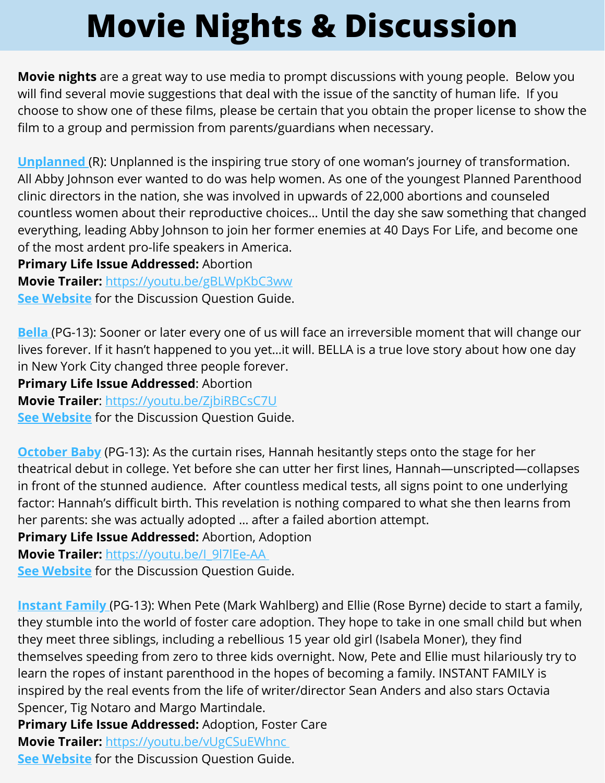## **Movie Nights & Discussion**

**Movie nights** are a great way to use media to prompt discussions with young people. Below you will find several movie suggestions that deal with the issue of the sanctity of human life. If you choose to show one of these films, please be certain that you obtain the proper license to show the film to a group and permission from parents/guardians when necessary.

**[Unplanned](https://www.unplannedfilm.com/)** (R): Unplanned is the inspiring true story of one woman's journey of transformation. All Abby Johnson ever wanted to do was help women. As one of the youngest Planned Parenthood clinic directors in the nation, she was involved in upwards of 22,000 abortions and counseled countless women about their reproductive choices… Until the day she saw something that changed everything, leading Abby Johnson to join her former enemies at 40 Days For Life, and become one of the most ardent pro-life speakers in America.

**Primary Life Issue Addressed:** Abortion **Movie Trailer:** <https://youtu.be/gBLWpKbC3ww> **See [Website](https://resources.catholicaoc.org/offices/respect-life-ministries/media-events/march-for-life-resources)** for the Discussion Question Guide.

**[Bella](https://www.amazon.com/Bella-Eduardo-Ver%C3%A1stegui/dp/B0014BQR6U/ref=sr_1_7?keywords=bella+movie&qid=1578579989&sr=8-7)** (PG-13): Sooner or later every one of us will face an irreversible moment that will change our lives forever. If it hasn't happened to you yet…it will. BELLA is a true love story about how one day in New York City changed three people forever.

**Primary Life Issue Addressed**: Abortion

**Movie Trailer**: <https://youtu.be/ZjbiRBCsC7U>

**See [Website](https://culture-of-life-studies.myshopify.com/products/bella-2006?_pos=1&_sid=2e3b59b7c&_ss=r)** for the Discussion Question Guide.

**[October](https://www.octoberbabymovie.net/synopsis) Baby** (PG-13): As the curtain rises, Hannah hesitantly steps onto the stage for her theatrical debut in college. Yet before she can utter her first lines, Hannah—unscripted—collapses in front of the stunned audience. After countless medical tests, all signs point to one underlying factor: Hannah's difficult birth. This revelation is nothing compared to what she then learns from her parents: she was actually adopted … after a failed abortion attempt.

**Primary Life Issue Addressed:** Abortion, Adoption

**Movie Trailer:** [https://youtu.be/I\\_9l7lEe-AA](https://youtu.be/I_9l7lEe-AA)

**See [Website](https://aocresources.weblifestyles.com/download/210/abortion/9958/october-baby-discussion.pdf)** for the Discussion Question Guide.

**[Instant](https://www.fandangonow.com/details/movie/instant-family-2018/MMVAEE9B12E8E2A5C5371A474573F9C2B36B?cmp=MCYT_YouTube_Desc) Family** (PG-13): When Pete (Mark Wahlberg) and Ellie (Rose Byrne) decide to start a family, they stumble into the world of foster care adoption. They hope to take in one small child but when they meet three siblings, including a rebellious 15 year old girl (Isabela Moner), they find themselves speeding from zero to three kids overnight. Now, Pete and Ellie must hilariously try to learn the ropes of instant parenthood in the hopes of becoming a family. INSTANT FAMILY is inspired by the real events from the life of writer/director Sean Anders and also stars Octavia Spencer, Tig Notaro and Margo Martindale.

**Primary Life Issue Addressed:** Adoption, Foster Care **Movie Trailer:** <https://youtu.be/vUgCSuEWhnc> **See [Website](https://downthehobbitholeblog.com/2018/adoptive-familys-review-of-instant-family/)** for the Discussion Question Guide.